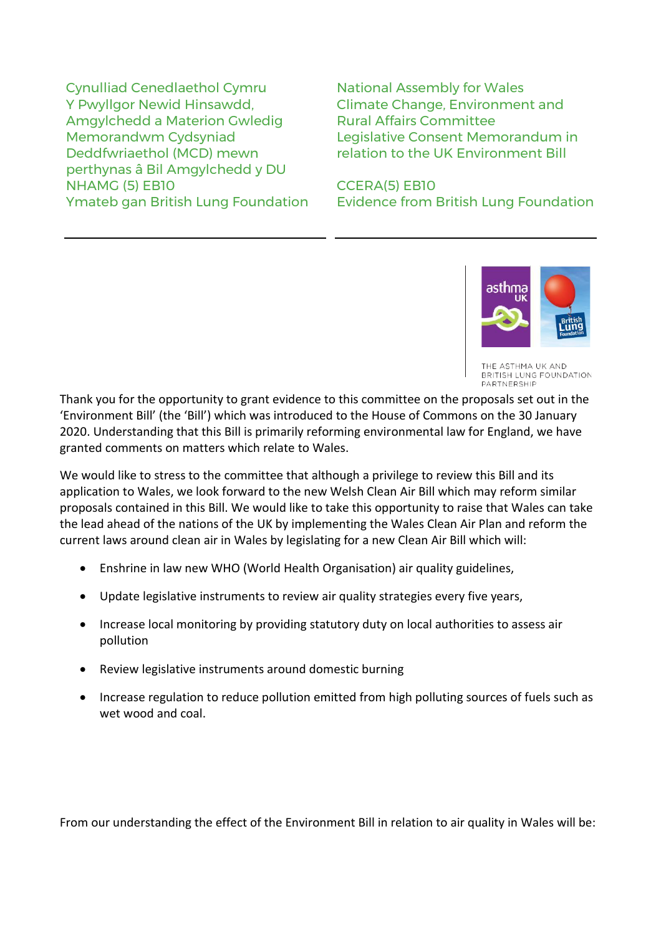Cynulliad Cenedlaethol Cymru National Assembly for Wales Y Pwyllgor Newid Hinsawdd, Amgylchedd a Materion Gwledig Memorandwm Cydsyniad Deddfwriaethol (MCD) mewn perthynas â Bil Amgylchedd y DU NHAMG (5) EB10 CCERA(5) EB10

Climate Change, Environment and Rural Affairs Committee Legislative Consent Memorandum in relation to the UK Environment Bill

Ymateb gan British Lung Foundation Evidence from British Lung Foundation



HMA LIK AND BRITISH LUNG FOUNDATION PARTNERSHIP

Thank you for the opportunity to grant evidence to this committee on the proposals set out in the 'Environment Bill' (the 'Bill') which was introduced to the House of Commons on the 30 January 2020. Understanding that this Bill is primarily reforming environmental law for England, we have granted comments on matters which relate to Wales.

We would like to stress to the committee that although a privilege to review this Bill and its application to Wales, we look forward to the new Welsh Clean Air Bill which may reform similar proposals contained in this Bill. We would like to take this opportunity to raise that Wales can take the lead ahead of the nations of the UK by implementing the Wales Clean Air Plan and reform the current laws around clean air in Wales by legislating for a new Clean Air Bill which will:

- Enshrine in law new WHO (World Health Organisation) air quality guidelines,
- Update legislative instruments to review air quality strategies every five years,
- Increase local monitoring by providing statutory duty on local authorities to assess air pollution
- Review legislative instruments around domestic burning
- Increase regulation to reduce pollution emitted from high polluting sources of fuels such as wet wood and coal.

From our understanding the effect of the Environment Bill in relation to air quality in Wales will be: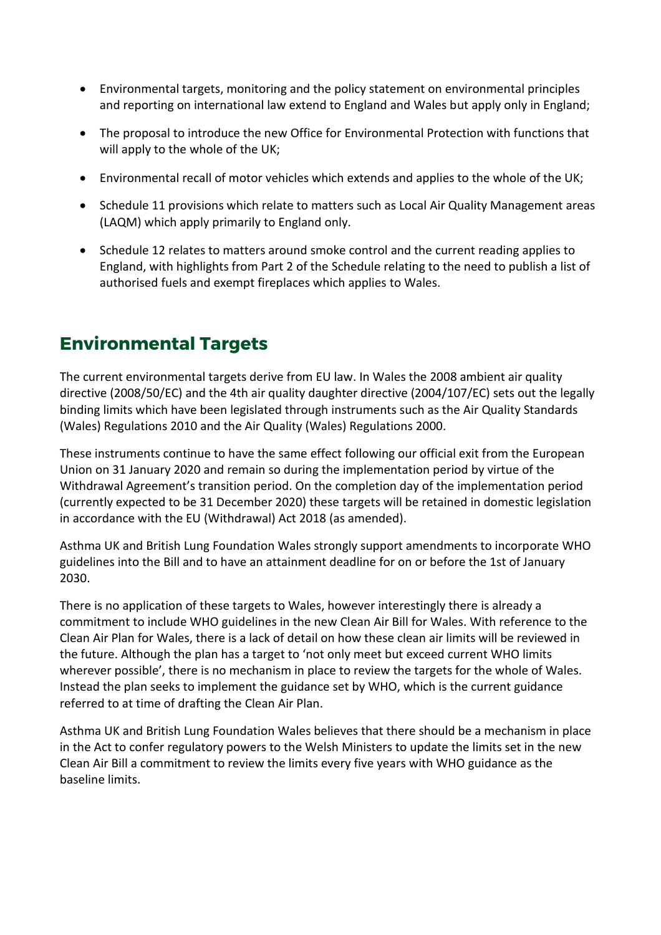- Environmental targets, monitoring and the policy statement on environmental principles and reporting on international law extend to England and Wales but apply only in England;
- The proposal to introduce the new Office for Environmental Protection with functions that will apply to the whole of the UK;
- Environmental recall of motor vehicles which extends and applies to the whole of the UK;
- Schedule 11 provisions which relate to matters such as Local Air Quality Management areas (LAQM) which apply primarily to England only.
- Schedule 12 relates to matters around smoke control and the current reading applies to England, with highlights from Part 2 of the Schedule relating to the need to publish a list of authorised fuels and exempt fireplaces which applies to Wales.

#### **Environmental Targets**

The current environmental targets derive from EU law. In Wales the 2008 ambient air quality directive (2008/50/EC) and the 4th air quality daughter directive (2004/107/EC) sets out the legally binding limits which have been legislated through instruments such as the Air Quality Standards (Wales) Regulations 2010 and the Air Quality (Wales) Regulations 2000.

These instruments continue to have the same effect following our official exit from the European Union on 31 January 2020 and remain so during the implementation period by virtue of the Withdrawal Agreement's transition period. On the completion day of the implementation period (currently expected to be 31 December 2020) these targets will be retained in domestic legislation in accordance with the EU (Withdrawal) Act 2018 (as amended).

Asthma UK and British Lung Foundation Wales strongly support amendments to incorporate WHO guidelines into the Bill and to have an attainment deadline for on or before the 1st of January 2030.

There is no application of these targets to Wales, however interestingly there is already a commitment to include WHO guidelines in the new Clean Air Bill for Wales. With reference to the Clean Air Plan for Wales, there is a lack of detail on how these clean air limits will be reviewed in the future. Although the plan has a target to 'not only meet but exceed current WHO limits wherever possible', there is no mechanism in place to review the targets for the whole of Wales. Instead the plan seeks to implement the guidance set by WHO, which is the current guidance referred to at time of drafting the Clean Air Plan.

Asthma UK and British Lung Foundation Wales believes that there should be a mechanism in place in the Act to confer regulatory powers to the Welsh Ministers to update the limits set in the new Clean Air Bill a commitment to review the limits every five years with WHO guidance as the baseline limits.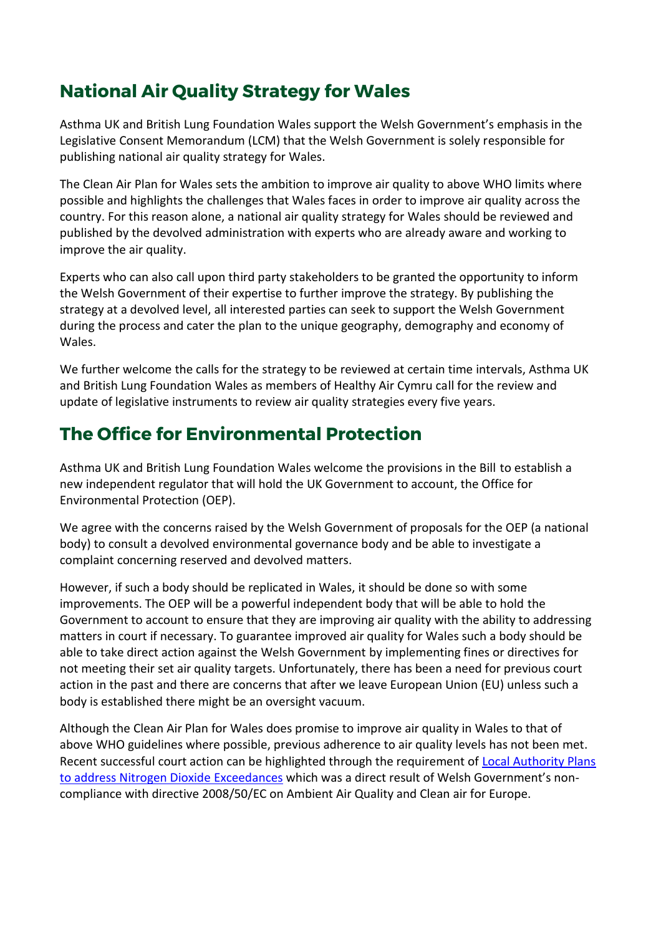## **National Air Quality Strategy for Wales**

Asthma UK and British Lung Foundation Wales support the Welsh Government's emphasis in the Legislative Consent Memorandum (LCM) that the Welsh Government is solely responsible for publishing national air quality strategy for Wales.

The Clean Air Plan for Wales sets the ambition to improve air quality to above WHO limits where possible and highlights the challenges that Wales faces in order to improve air quality across the country. For this reason alone, a national air quality strategy for Wales should be reviewed and published by the devolved administration with experts who are already aware and working to improve the air quality.

Experts who can also call upon third party stakeholders to be granted the opportunity to inform the Welsh Government of their expertise to further improve the strategy. By publishing the strategy at a devolved level, all interested parties can seek to support the Welsh Government during the process and cater the plan to the unique geography, demography and economy of Wales.

We further welcome the calls for the strategy to be reviewed at certain time intervals, Asthma UK and British Lung Foundation Wales as members of Healthy Air Cymru call for the review and update of legislative instruments to review air quality strategies every five years.

### **The Office for Environmental Protection**

Asthma UK and British Lung Foundation Wales welcome the provisions in the Bill to establish a new independent regulator that will hold the UK Government to account, the Office for Environmental Protection (OEP).

We agree with the concerns raised by the Welsh Government of proposals for the OEP (a national body) to consult a devolved environmental governance body and be able to investigate a complaint concerning reserved and devolved matters.

However, if such a body should be replicated in Wales, it should be done so with some improvements. The OEP will be a powerful independent body that will be able to hold the Government to account to ensure that they are improving air quality with the ability to addressing matters in court if necessary. To guarantee improved air quality for Wales such a body should be able to take direct action against the Welsh Government by implementing fines or directives for not meeting their set air quality targets. Unfortunately, there has been a need for previous court action in the past and there are concerns that after we leave European Union (EU) unless such a body is established there might be an oversight vacuum.

Although the Clean Air Plan for Wales does promise to improve air quality in Wales to that of above WHO guidelines where possible, previous adherence to air quality levels has not been met. Recent successful court action can be highlighted through the requirement of [Local Authority Plans](https://gov.wales/written-statement-local-authority-plans-address-nitrogen-dioxide-exceedances)  [to address Nitrogen Dioxide Exceedances](https://gov.wales/written-statement-local-authority-plans-address-nitrogen-dioxide-exceedances) which was a direct result of Welsh Government's noncompliance with directive 2008/50/EC on Ambient Air Quality and Clean air for Europe.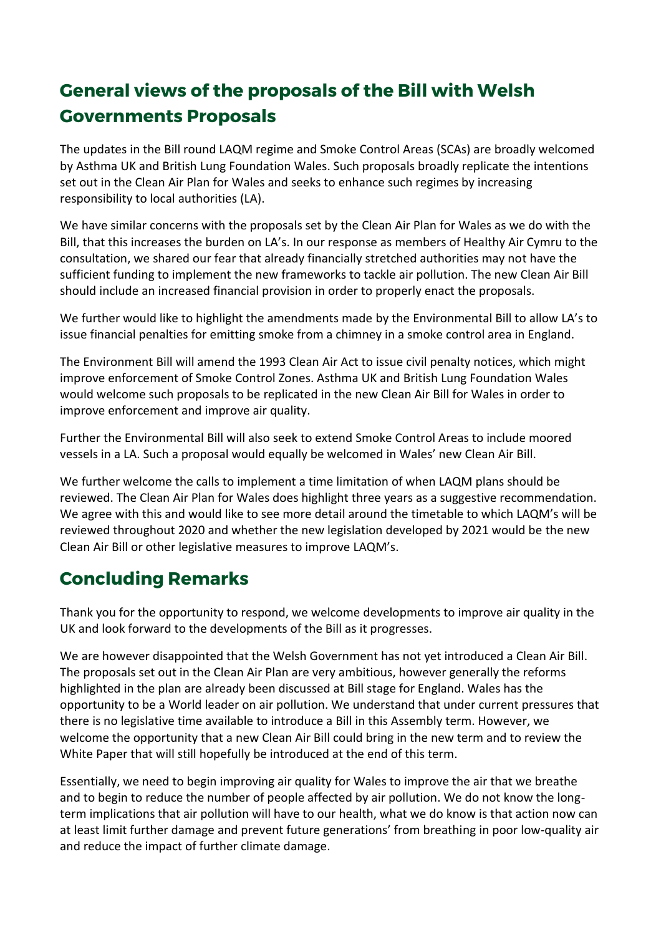# **General views of the proposals of the Bill with Welsh Governments Proposals**

The updates in the Bill round LAQM regime and Smoke Control Areas (SCAs) are broadly welcomed by Asthma UK and British Lung Foundation Wales. Such proposals broadly replicate the intentions set out in the Clean Air Plan for Wales and seeks to enhance such regimes by increasing responsibility to local authorities (LA).

We have similar concerns with the proposals set by the Clean Air Plan for Wales as we do with the Bill, that this increases the burden on LA's. In our response as members of Healthy Air Cymru to the consultation, we shared our fear that already financially stretched authorities may not have the sufficient funding to implement the new frameworks to tackle air pollution. The new Clean Air Bill should include an increased financial provision in order to properly enact the proposals.

We further would like to highlight the amendments made by the Environmental Bill to allow LA's to issue financial penalties for emitting smoke from a chimney in a smoke control area in England.

The Environment Bill will amend the 1993 Clean Air Act to issue civil penalty notices, which might improve enforcement of Smoke Control Zones. Asthma UK and British Lung Foundation Wales would welcome such proposals to be replicated in the new Clean Air Bill for Wales in order to improve enforcement and improve air quality.

Further the Environmental Bill will also seek to extend Smoke Control Areas to include moored vessels in a LA. Such a proposal would equally be welcomed in Wales' new Clean Air Bill.

We further welcome the calls to implement a time limitation of when LAQM plans should be reviewed. The Clean Air Plan for Wales does highlight three years as a suggestive recommendation. We agree with this and would like to see more detail around the timetable to which LAQM's will be reviewed throughout 2020 and whether the new legislation developed by 2021 would be the new Clean Air Bill or other legislative measures to improve LAQM's.

### **Concluding Remarks**

Thank you for the opportunity to respond, we welcome developments to improve air quality in the UK and look forward to the developments of the Bill as it progresses.

We are however disappointed that the Welsh Government has not yet introduced a Clean Air Bill. The proposals set out in the Clean Air Plan are very ambitious, however generally the reforms highlighted in the plan are already been discussed at Bill stage for England. Wales has the opportunity to be a World leader on air pollution. We understand that under current pressures that there is no legislative time available to introduce a Bill in this Assembly term. However, we welcome the opportunity that a new Clean Air Bill could bring in the new term and to review the White Paper that will still hopefully be introduced at the end of this term.

Essentially, we need to begin improving air quality for Wales to improve the air that we breathe and to begin to reduce the number of people affected by air pollution. We do not know the longterm implications that air pollution will have to our health, what we do know is that action now can at least limit further damage and prevent future generations' from breathing in poor low-quality air and reduce the impact of further climate damage.